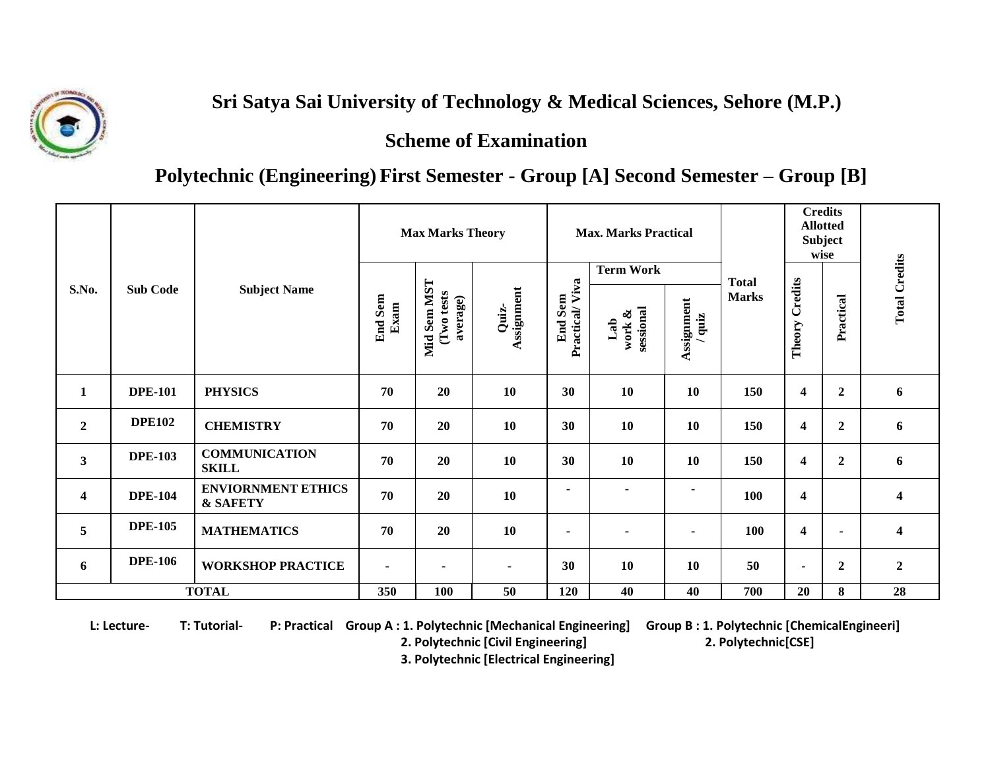

## **Sri Satya Sai University of Technology & Medical Sciences, Sehore (M.P.)**

 **Scheme of Examination**

## **Polytechnic (Engineering) First Semester - Group [A] Second Semester – Group [B]**

| S.No.                   | <b>Sub Code</b> | <b>Subject Name</b>                   | <b>Max Marks Theory</b> |                                       |                     | <b>Max. Marks Practical</b><br><b>Term Work</b> |                            |                      |                              | <b>Credits</b><br><b>Allotted</b><br><b>Subject</b><br>wise |                  |                      |
|-------------------------|-----------------|---------------------------------------|-------------------------|---------------------------------------|---------------------|-------------------------------------------------|----------------------------|----------------------|------------------------------|-------------------------------------------------------------|------------------|----------------------|
|                         |                 |                                       | <b>End Sem</b><br>Exam  | Mid Sem MST<br>(Two tests<br>average) | Assignment<br>Quiz- | Viva<br><b>End Sem</b><br>Practical             | sessional<br>work &<br>Lab | Assignment<br>/ quiz | <b>Total</b><br><b>Marks</b> | Credits<br>Theory                                           | Practical        | <b>Total Credits</b> |
| $\mathbf{1}$            | <b>DPE-101</b>  | <b>PHYSICS</b>                        | 70                      | 20                                    | 10                  | 30                                              | 10                         | 10                   | 150                          | 4                                                           | $\boldsymbol{2}$ | 6                    |
| $\boldsymbol{2}$        | <b>DPE102</b>   | <b>CHEMISTRY</b>                      | 70                      | 20                                    | <b>10</b>           | 30                                              | 10                         | 10                   | 150                          | 4                                                           | $\boldsymbol{2}$ | 6                    |
| $\mathbf{3}$            | <b>DPE-103</b>  | <b>COMMUNICATION</b><br><b>SKILL</b>  | 70                      | 20                                    | 10                  | 30                                              | 10                         | 10                   | 150                          | $\overline{\mathbf{4}}$                                     | $\boldsymbol{2}$ | 6                    |
| $\overline{\mathbf{4}}$ | <b>DPE-104</b>  | <b>ENVIORNMENT ETHICS</b><br>& SAFETY | 70                      | 20                                    | 10                  | ٠                                               | $\blacksquare$             | $\blacksquare$       | 100                          | $\overline{\mathbf{4}}$                                     |                  | 4                    |
| 5                       | <b>DPE-105</b>  | <b>MATHEMATICS</b>                    | 70                      | 20                                    | 10                  | $\blacksquare$                                  | ٠                          | $\blacksquare$       | 100                          | $\overline{\mathbf{4}}$                                     | $\blacksquare$   | 4                    |
| 6                       | <b>DPE-106</b>  | <b>WORKSHOP PRACTICE</b>              | $\blacksquare$          | $\overline{\phantom{a}}$              | $\blacksquare$      | 30                                              | 10                         | 10                   | 50                           | ۰                                                           | $\boldsymbol{2}$ | $\overline{2}$       |
| <b>TOTAL</b>            |                 |                                       | 350                     | 100                                   | 50                  | 120                                             | 40                         | 40                   | 700                          | 20                                                          | 8                | 28                   |

**L: Lecture- T: Tutorial- P: Practical Group A : 1. Polytechnic [Mechanical Engineering] Group B : 1. Polytechnic [ChemicalEngineeri]**

 **2. Polytechnic [Civil Engineering] 2. Polytechnic[CSE]** 

 **3. Polytechnic [Electrical Engineering]**